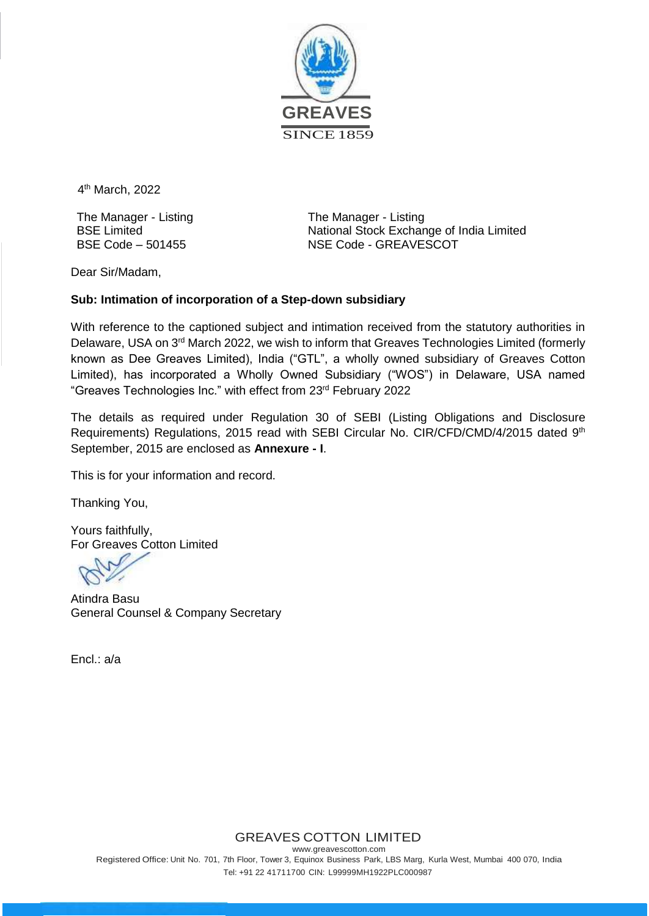

4<sup>th</sup> March, 2022

The Manager - Listing BSE Limited BSE Code – 501455

The Manager - Listing National Stock Exchange of India Limited NSE Code - GREAVESCOT

Dear Sir/Madam,

## **Sub: Intimation of incorporation of a Step-down subsidiary**

With reference to the captioned subject and intimation received from the statutory authorities in Delaware, USA on 3<sup>rd</sup> March 2022, we wish to inform that Greaves Technologies Limited (formerly known as Dee Greaves Limited), India ("GTL", a wholly owned subsidiary of Greaves Cotton Limited), has incorporated a Wholly Owned Subsidiary ("WOS") in Delaware, USA named "Greaves Technologies Inc." with effect from 23rd February 2022

The details as required under Regulation 30 of SEBI (Listing Obligations and Disclosure Requirements) Regulations, 2015 read with SEBI Circular No. CIR/CFD/CMD/4/2015 dated 9<sup>th</sup> September, 2015 are enclosed as **Annexure - I**.

This is for your information and record.

Thanking You,

Yours faithfully, For Greaves Cotton Limited

Atindra Basu General Counsel & Company Secretary

Encl.: a/a

GREAVES COTTON LIMITED

[www.greavescotton.com](http://www.greavescotton.com/) Registered Office: Unit No. 701, 7th Floor, Tower 3, Equinox Business Park, LBS Marg, Kurla West, Mumbai 400 070, India Tel: +91 22 41711700 CIN: L99999MH1922PLC000987